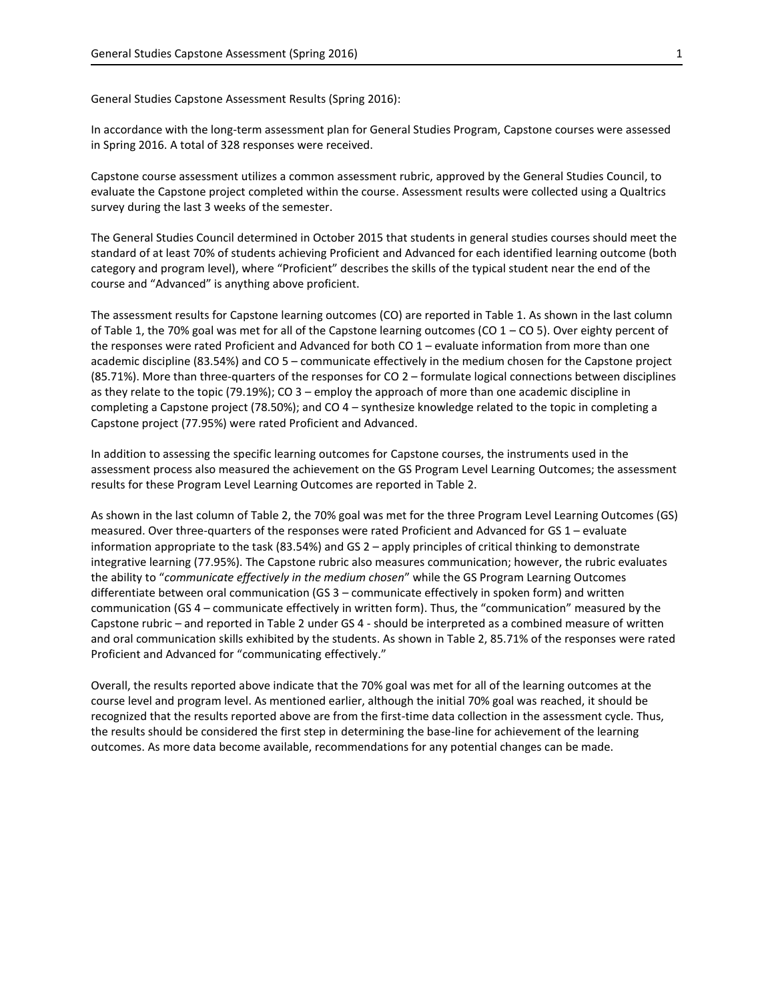General Studies Capstone Assessment Results (Spring 2016):

In accordance with the long-term assessment plan for General Studies Program, Capstone courses were assessed in Spring 2016. A total of 328 responses were received.

Capstone course assessment utilizes a common assessment rubric, approved by the General Studies Council, to evaluate the Capstone project completed within the course. Assessment results were collected using a Qualtrics survey during the last 3 weeks of the semester.

The General Studies Council determined in October 2015 that students in general studies courses should meet the standard of at least 70% of students achieving Proficient and Advanced for each identified learning outcome (both category and program level), where "Proficient" describes the skills of the typical student near the end of the course and "Advanced" is anything above proficient.

The assessment results for Capstone learning outcomes (CO) are reported in Table 1. As shown in the last column of Table 1, the 70% goal was met for all of the Capstone learning outcomes (CO 1 – CO 5). Over eighty percent of the responses were rated Proficient and Advanced for both CO 1 – evaluate information from more than one academic discipline (83.54%) and CO 5 – communicate effectively in the medium chosen for the Capstone project  $(85.71%)$ . More than three-quarters of the responses for CO 2 – formulate logical connections between disciplines as they relate to the topic (79.19%); CO 3 – employ the approach of more than one academic discipline in completing a Capstone project (78.50%); and CO 4 – synthesize knowledge related to the topic in completing a Capstone project (77.95%) were rated Proficient and Advanced.

In addition to assessing the specific learning outcomes for Capstone courses, the instruments used in the assessment process also measured the achievement on the GS Program Level Learning Outcomes; the assessment results for these Program Level Learning Outcomes are reported in Table 2.

As shown in the last column of Table 2, the 70% goal was met for the three Program Level Learning Outcomes (GS) measured. Over three-quarters of the responses were rated Proficient and Advanced for GS 1 – evaluate information appropriate to the task (83.54%) and GS 2 – apply principles of critical thinking to demonstrate integrative learning (77.95%). The Capstone rubric also measures communication; however, the rubric evaluates the ability to "*communicate effectively in the medium chosen*" while the GS Program Learning Outcomes differentiate between oral communication (GS 3 – communicate effectively in spoken form) and written communication (GS 4 – communicate effectively in written form). Thus, the "communication" measured by the Capstone rubric – and reported in Table 2 under GS 4 - should be interpreted as a combined measure of written and oral communication skills exhibited by the students. As shown in Table 2, 85.71% of the responses were rated Proficient and Advanced for "communicating effectively."

Overall, the results reported above indicate that the 70% goal was met for all of the learning outcomes at the course level and program level. As mentioned earlier, although the initial 70% goal was reached, it should be recognized that the results reported above are from the first-time data collection in the assessment cycle. Thus, the results should be considered the first step in determining the base-line for achievement of the learning outcomes. As more data become available, recommendations for any potential changes can be made.